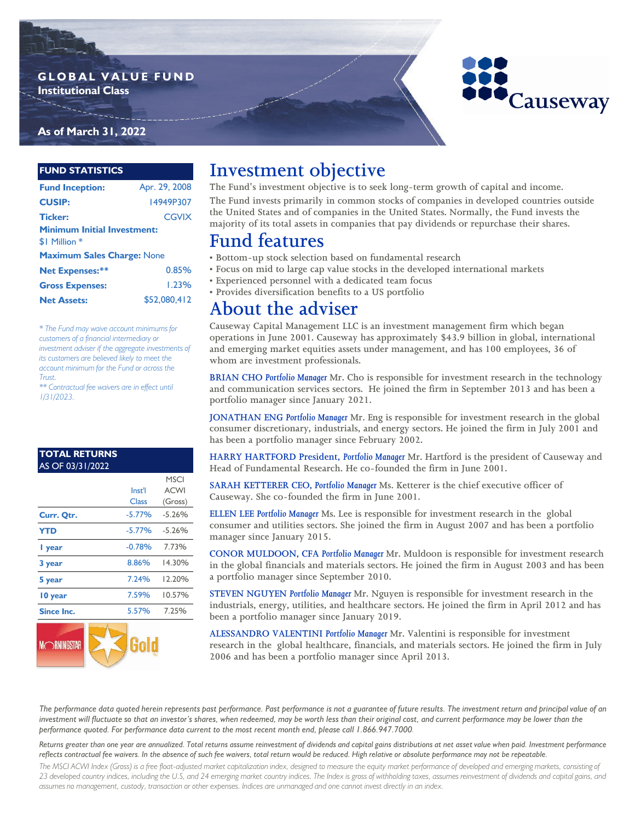### **G L O B A L V A L U E F U N D Institutional Class**

### **As of March 31, 2022**

#### **FUND STATISTICS**

بالمستنب

| <b>Fund Inception:</b>             | Apr. 29, 2008 |  |  |  |
|------------------------------------|---------------|--|--|--|
| <b>CUSIP:</b>                      | I4949P307     |  |  |  |
| <b>Ticker:</b>                     | <b>CGVIX</b>  |  |  |  |
| <b>Minimum Initial Investment:</b> |               |  |  |  |
| \$1 Million *                      |               |  |  |  |
| <b>Maximum Sales Charge: None</b>  |               |  |  |  |
| <b>Net Expenses:**</b>             | 0.85%         |  |  |  |
| <b>Gross Expenses:</b>             | 1.23%         |  |  |  |
| <b>Net Assets:</b>                 | \$52,080,412  |  |  |  |

*\* The Fund may waive account minimums for customers of a financial intermediary or investment adviser if the aggregate investments of its customers are believed likely to meet the account minimum for the Fund or across the Trust.*

*\*\* Contractual fee waivers are in effect until 1/31/2023.*

#### **TOTAL RETURNS**  AS OF 03/31/2022

| Curr. Qtr.        | Inst'l<br>Class<br>$-5.77%$ | <b>ACWI</b><br>(Gross)<br>$-5.26%$ |
|-------------------|-----------------------------|------------------------------------|
|                   |                             |                                    |
|                   |                             |                                    |
|                   |                             |                                    |
| <b>YTD</b>        | $-5.77%$                    | $-5.26%$                           |
| I year            | $-0.78%$                    | 7.73%                              |
| 3 year            | 8.86%                       | 14.30%                             |
| 5 year            | 7.24%                       | 12.20%                             |
| 10 year           | 7.59%                       | 10.57%                             |
| <b>Since Inc.</b> | 5.57%                       | 7.25%                              |



# **Investment objective**

**The Fund's investment objective is to seek long-term growth of capital and income. The Fund invests primarily in common stocks of companies in developed countries outside the United States and of companies in the United States. Normally, the Fund invests the majority of its total assets in companies that pay dividends or repurchase their shares.**

Causeway

## **Fund features**

- **Bottom-up stock selection based on fundamental research**
- **Focus on mid to large cap value stocks in the developed international markets**
- **Experienced personnel with a dedicated team focus**
- **Provides diversification benefits to a US portfolio**

## **About the adviser**

**Causeway Capital Management LLC is an investment management firm which began operations in June 2001. Causeway has approximately \$43.9 billion in global, international and emerging market equities assets under management, and has 100 employees, 36 of whom are investment professionals.** 

**BRIAN CHO** *Portfolio Manager* **Mr. Cho is responsible for investment research in the technology and communication services sectors. He joined the firm in September 2013 and has been a portfolio manager since January 2021.** 

**JONATHAN ENG** *Portfolio Manager* **Mr. Eng is responsible for investment research in the global consumer discretionary, industrials, and energy sectors. He joined the firm in July 2001 and has been a portfolio manager since February 2002.** 

**HARRY HARTFORD President,** *Portfolio Manager* **Mr. Hartford is the president of Causeway and Head of Fundamental Research. He co-founded the firm in June 2001.** 

**SARAH KETTERER CEO,** *Portfolio Manager* **Ms. Ketterer is the chief executive officer of Causeway. She co-founded the firm in June 2001.** 

**ELLEN LEE** *Portfolio Manager* **Ms. Lee is responsible for investment research in the global consumer and utilities sectors. She joined the firm in August 2007 and has been a portfolio manager since January 2015.** 

**CONOR MULDOON, CFA** *Portfolio Manager* **Mr. Muldoon is responsible for investment research in the global financials and materials sectors. He joined the firm in August 2003 and has been a portfolio manager since September 2010.**

**STEVEN NGUYEN** *Portfolio Manager* **Mr. Nguyen is responsible for investment research in the industrials, energy, utilities, and healthcare sectors. He joined the firm in April 2012 and has been a portfolio manager since January 2019.**

**ALESSANDRO VALENTINI** *Portfolio Manager* **Mr. Valentini is responsible for investment research in the global healthcare, financials, and materials sectors. He joined the firm in July 2006 and has been a portfolio manager since April 2013.**

The performance data quoted herein represents past performance. Past performance is not a guarantee of future results. The investment return and principal value of an *investment will fluctuate so that an investor's shares, when redeemed, may be worth less than their original cost, and current performance may be lower than the performance quoted. For performance data current to the most recent month end, please call 1.866.947.7000.* 

*Returns greater than one year are annualized. Total returns assume reinvestment of dividends and capital gains distributions at net asset value when paid. Investment performance reflects contractual fee waivers. In the absence of such fee waivers, total return would be reduced. High relative or absolute performance may not be repeatable.*

The MSCI ACWI Index (Gross) is a free float-adjusted market capitalization index, designed to measure the equity market performance of developed and emerging markets, consisting of *23 developed country indices, including the U.S, and 24 emerging market country indices. The Index is gross of withholding taxes, assumes reinvestment of dividends and capital gains, and assumes no management, custody, transaction or other expenses. Indices are unmanaged and one cannot invest directly in an index.*